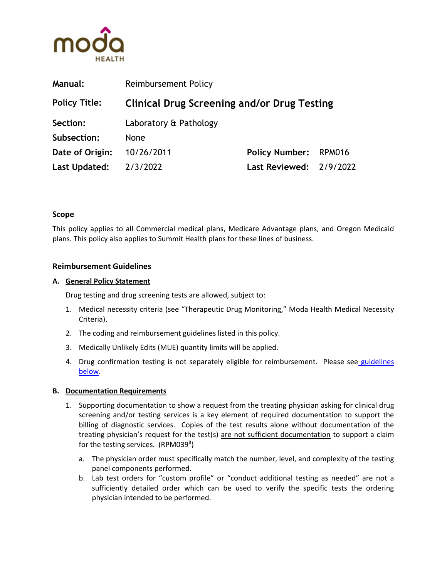

| <b>Manual:</b>       | Reimbursement Policy                               |                                |               |
|----------------------|----------------------------------------------------|--------------------------------|---------------|
| <b>Policy Title:</b> | <b>Clinical Drug Screening and/or Drug Testing</b> |                                |               |
| Section:             | Laboratory & Pathology                             |                                |               |
| Subsection:          | <b>None</b>                                        |                                |               |
| Date of Origin:      | 10/26/2011                                         | <b>Policy Number:</b>          | <b>RPM016</b> |
| Last Updated:        | 2/3/2022                                           | <b>Last Reviewed: 2/9/2022</b> |               |
|                      |                                                    |                                |               |

### **Scope**

This policy applies to all Commercial medical plans, Medicare Advantage plans, and Oregon Medicaid plans. This policy also applies to Summit Health plans for these lines of business.

### **Reimbursement Guidelines**

### **A. General Policy Statement**

Drug testing and drug screening tests are allowed, subject to:

- 1. Medical necessity criteria (see "Therapeutic Drug Monitoring," Moda Health Medical Necessity Criteria).
- 2. The coding and reimbursement guidelines listed in this policy.
- 3. Medically Unlikely Edits (MUE) quantity limits will be applied.
- 4. Drug confirmation testing is not separately eligible for reimbursement. Please see guidelines [below.](#page-3-0)

### **B. Documentation Requirements**

- 1. Supporting documentation to show a request from the treating physician asking for clinical drug screening and/or testing services is a key element of required documentation to support the billing of diagnostic services. Copies of the test results alone without documentation of the treating physician's request for the test(s) are not sufficient documentation to support a claim for the testing services. (RPM039<sup>B</sup>)
	- a. The physician order must specifically match the number, level, and complexity of the testing panel components performed.
	- b. Lab test orders for "custom profile" or "conduct additional testing as needed" are not a sufficiently detailed order which can be used to verify the specific tests the ordering physician intended to be performed.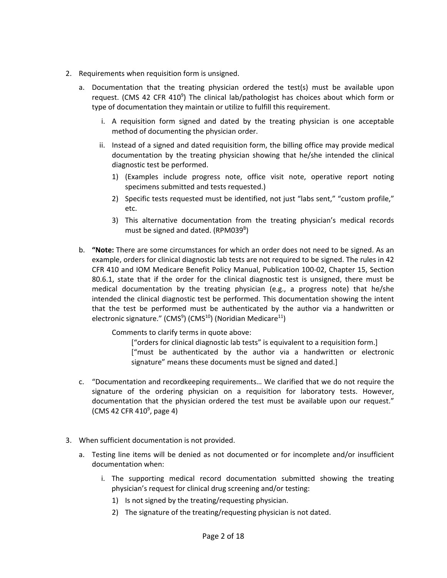- 2. Requirements when requisition form is unsigned.
	- a. Documentation that the treating physician ordered the test(s) must be available upon request. (CMS 42 CFR 410<sup>9</sup>) The clinical lab/pathologist has choices about which form or type of documentation they maintain or utilize to fulfill this requirement.
		- i. A requisition form signed and dated by the treating physician is one acceptable method of documenting the physician order.
		- ii. Instead of a signed and dated requisition form, the billing office may provide medical documentation by the treating physician showing that he/she intended the clinical diagnostic test be performed.
			- 1) (Examples include progress note, office visit note, operative report noting specimens submitted and tests requested.)
			- 2) Specific tests requested must be identified, not just "labs sent," "custom profile," etc.
			- 3) This alternative documentation from the treating physician's medical records must be signed and dated. (RPM039<sup>B</sup>)
	- b. **"Note:** There are some circumstances for which an order does not need to be signed. As an example, orders for clinical diagnostic lab tests are not required to be signed. The rules in 42 CFR 410 and IOM Medicare Benefit Policy Manual, Publication 100-02, Chapter 15, Section 80.6.1, state that if the order for the clinical diagnostic test is unsigned, there must be medical documentation by the treating physician (e.g., a progress note) that he/she intended the clinical diagnostic test be performed. This documentation showing the intent that the test be performed must be authenticated by the author via a handwritten or electronic signature." (CMS<sup>9</sup>) (CMS<sup>10</sup>) (Noridian Medicare<sup>11</sup>)

Comments to clarify terms in quote above:

["orders for clinical diagnostic lab tests" is equivalent to a requisition form.] ["must be authenticated by the author via a handwritten or electronic signature" means these documents must be signed and dated.]

- c. "Documentation and recordkeeping requirements… We clarified that we do not require the signature of the ordering physician on a requisition for laboratory tests. However, documentation that the physician ordered the test must be available upon our request." (CMS 42 CFR 410<sup>9</sup>, page 4)
- 3. When sufficient documentation is not provided.
	- a. Testing line items will be denied as not documented or for incomplete and/or insufficient documentation when:
		- i. The supporting medical record documentation submitted showing the treating physician's request for clinical drug screening and/or testing:
			- 1) Is not signed by the treating/requesting physician.
			- 2) The signature of the treating/requesting physician is not dated.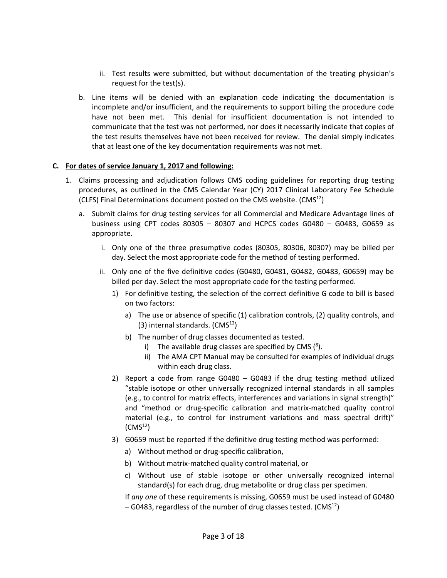- ii. Test results were submitted, but without documentation of the treating physician's request for the test(s).
- b. Line items will be denied with an explanation code indicating the documentation is incomplete and/or insufficient, and the requirements to support billing the procedure code have not been met. This denial for insufficient documentation is not intended to communicate that the test was not performed, nor does it necessarily indicate that copies of the test results themselves have not been received for review. The denial simply indicates that at least one of the key documentation requirements was not met.

### **C. For dates of service January 1, 2017 and following:**

- 1. Claims processing and adjudication follows CMS coding guidelines for reporting drug testing procedures, as outlined in the CMS Calendar Year (CY) 2017 Clinical Laboratory Fee Schedule (CLFS) Final Determinations document posted on the CMS website.  $(CMS<sup>12</sup>)$ 
	- a. Submit claims for drug testing services for all Commercial and Medicare Advantage lines of business using CPT codes 80305 – 80307 and HCPCS codes G0480 – G0483, G0659 as appropriate.
		- i. Only one of the three presumptive codes (80305, 80306, 80307) may be billed per day. Select the most appropriate code for the method of testing performed.
		- ii. Only one of the five definitive codes (G0480, G0481, G0482, G0483, G0659) may be billed per day. Select the most appropriate code for the testing performed.
			- 1) For definitive testing, the selection of the correct definitive G code to bill is based on two factors:
				- a) The use or absence of specific (1) calibration controls, (2) quality controls, and  $(3)$  internal standards.  $(CMS<sup>12</sup>)$
				- b) The number of drug classes documented as tested.
					- i) The available drug classes are specified by CMS  $(^8)$ .
					- ii) The AMA CPT Manual may be consulted for examples of individual drugs within each drug class.
			- 2) Report a code from range G0480 G0483 if the drug testing method utilized "stable isotope or other universally recognized internal standards in all samples (e.g., to control for matrix effects, interferences and variations in signal strength)" and "method or drug-specific calibration and matrix-matched quality control material (e.g., to control for instrument variations and mass spectral drift)"  $(CMS<sup>12</sup>)$
			- 3) G0659 must be reported if the definitive drug testing method was performed:
				- a) Without method or drug-specific calibration,
				- b) Without matrix-matched quality control material, or
				- c) Without use of stable isotope or other universally recognized internal standard(s) for each drug, drug metabolite or drug class per specimen.

If *any one* of these requirements is missing, G0659 must be used instead of G0480 – G0483, regardless of the number of drug classes tested. (CMS $^{12}$ )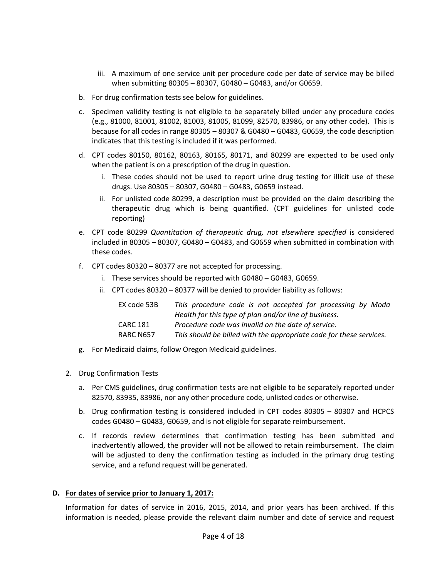- iii. A maximum of one service unit per procedure code per date of service may be billed when submitting 80305 – 80307, G0480 – G0483, and/or G0659.
- b. For drug confirmation tests see below for guidelines.
- c. Specimen validity testing is not eligible to be separately billed under any procedure codes (e.g., 81000, 81001, 81002, 81003, 81005, 81099, 82570, 83986, or any other code). This is because for all codes in range 80305 – 80307 & G0480 – G0483, G0659, the code description indicates that this testing is included if it was performed.
- d. CPT codes 80150, 80162, 80163, 80165, 80171, and 80299 are expected to be used only when the patient is on a prescription of the drug in question.
	- i. These codes should not be used to report urine drug testing for illicit use of these drugs. Use 80305 – 80307, G0480 – G0483, G0659 instead.
	- ii. For unlisted code 80299, a description must be provided on the claim describing the therapeutic drug which is being quantified. (CPT guidelines for unlisted code reporting)
- e. CPT code 80299 *Quantitation of therapeutic drug, not elsewhere specified* is considered included in 80305 – 80307, G0480 – G0483, and G0659 when submitted in combination with these codes.
- f. CPT codes 80320 80377 are not accepted for processing.
	- i. These services should be reported with G0480 G0483, G0659.
	- ii. CPT codes 80320 80377 will be denied to provider liability as follows:

| EX code 53B | This procedure code is not accepted for processing by Moda          |  |  |
|-------------|---------------------------------------------------------------------|--|--|
|             | Health for this type of plan and/or line of business.               |  |  |
| CARC 181    | Procedure code was invalid on the date of service.                  |  |  |
| RARC N657   | This should be billed with the appropriate code for these services. |  |  |

- g. For Medicaid claims, follow Oregon Medicaid guidelines.
- <span id="page-3-0"></span>2. Drug Confirmation Tests
	- a. Per CMS guidelines, drug confirmation tests are not eligible to be separately reported under 82570, 83935, 83986, nor any other procedure code, unlisted codes or otherwise.
	- b. Drug confirmation testing is considered included in CPT codes 80305 80307 and HCPCS codes G0480 – G0483, G0659, and is not eligible for separate reimbursement.
	- c. If records review determines that confirmation testing has been submitted and inadvertently allowed, the provider will not be allowed to retain reimbursement. The claim will be adjusted to deny the confirmation testing as included in the primary drug testing service, and a refund request will be generated.

### **D. For dates of service prior to January 1, 2017:**

Information for dates of service in 2016, 2015, 2014, and prior years has been archived. If this information is needed, please provide the relevant claim number and date of service and request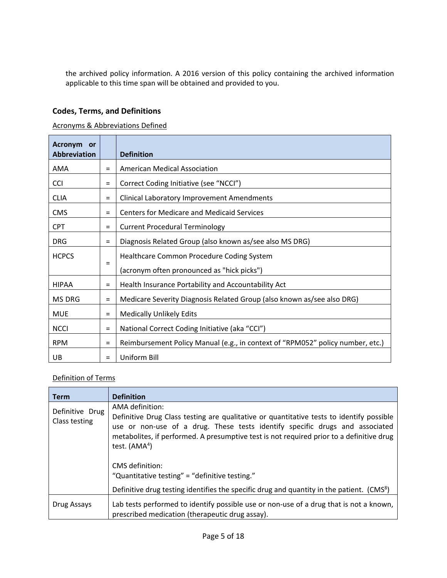the archived policy information. A 2016 version of this policy containing the archived information applicable to this time span will be obtained and provided to you.

# **Codes, Terms, and Definitions**

### Acronyms & Abbreviations Defined

| Acronym<br>or<br><b>Abbreviation</b> |          | <b>Definition</b>                                                              |
|--------------------------------------|----------|--------------------------------------------------------------------------------|
| AMA                                  | $=$      | American Medical Association                                                   |
| <b>CCI</b>                           | $\equiv$ | Correct Coding Initiative (see "NCCI")                                         |
| <b>CLIA</b>                          | $=$      | <b>Clinical Laboratory Improvement Amendments</b>                              |
| <b>CMS</b>                           | $=$      | <b>Centers for Medicare and Medicaid Services</b>                              |
| <b>CPT</b>                           | $=$      | <b>Current Procedural Terminology</b>                                          |
| <b>DRG</b>                           | $=$      | Diagnosis Related Group (also known as/see also MS DRG)                        |
| <b>HCPCS</b>                         |          | Healthcare Common Procedure Coding System                                      |
|                                      | $=$      | (acronym often pronounced as "hick picks")                                     |
| <b>HIPAA</b>                         | $=$      | Health Insurance Portability and Accountability Act                            |
| MS DRG                               | $=$      | Medicare Severity Diagnosis Related Group (also known as/see also DRG)         |
| <b>MUE</b>                           | $=$      | <b>Medically Unlikely Edits</b>                                                |
| <b>NCCI</b>                          | $\equiv$ | National Correct Coding Initiative (aka "CCI")                                 |
| <b>RPM</b>                           | $=$      | Reimbursement Policy Manual (e.g., in context of "RPM052" policy number, etc.) |
| UB                                   | $=$      | Uniform Bill                                                                   |

## Definition of Terms

| <b>Term</b>                      | <b>Definition</b>                                                                                                                                                                                                                                                                                         |
|----------------------------------|-----------------------------------------------------------------------------------------------------------------------------------------------------------------------------------------------------------------------------------------------------------------------------------------------------------|
| Definitive Drug<br>Class testing | AMA definition:<br>Definitive Drug Class testing are qualitative or quantitative tests to identify possible<br>use or non-use of a drug. These tests identify specific drugs and associated<br>metabolites, if performed. A presumptive test is not required prior to a definitive drug<br>test. $(AMA4)$ |
|                                  | CMS definition:<br>"Quantitative testing" = "definitive testing."                                                                                                                                                                                                                                         |
|                                  | Definitive drug testing identifies the specific drug and quantity in the patient. (CMS <sup>8</sup> )                                                                                                                                                                                                     |
| Drug Assays                      | Lab tests performed to identify possible use or non-use of a drug that is not a known,<br>prescribed medication (therapeutic drug assay).                                                                                                                                                                 |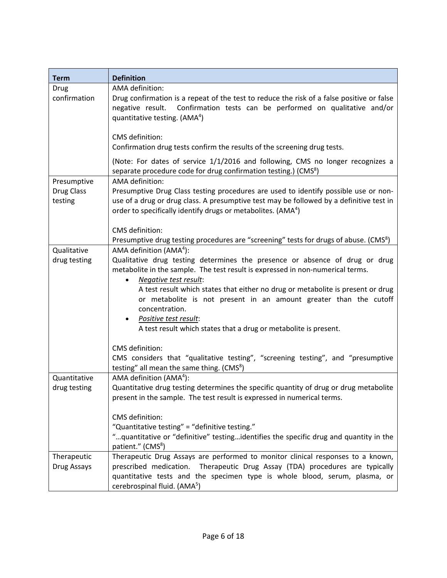| <b>Term</b>       | <b>Definition</b>                                                                                                                                             |  |  |
|-------------------|---------------------------------------------------------------------------------------------------------------------------------------------------------------|--|--|
| Drug              | AMA definition:                                                                                                                                               |  |  |
| confirmation      | Drug confirmation is a repeat of the test to reduce the risk of a false positive or false                                                                     |  |  |
|                   | negative result. Confirmation tests can be performed on qualitative and/or                                                                                    |  |  |
|                   | quantitative testing. (AMA <sup>4</sup> )                                                                                                                     |  |  |
|                   |                                                                                                                                                               |  |  |
|                   | CMS definition:                                                                                                                                               |  |  |
|                   | Confirmation drug tests confirm the results of the screening drug tests.                                                                                      |  |  |
|                   | (Note: For dates of service 1/1/2016 and following, CMS no longer recognizes a                                                                                |  |  |
|                   | separate procedure code for drug confirmation testing.) (CMS <sup>8</sup> )                                                                                   |  |  |
| Presumptive       | AMA definition:                                                                                                                                               |  |  |
| <b>Drug Class</b> | Presumptive Drug Class testing procedures are used to identify possible use or non-                                                                           |  |  |
| testing           | use of a drug or drug class. A presumptive test may be followed by a definitive test in                                                                       |  |  |
|                   | order to specifically identify drugs or metabolites. (AMA <sup>4</sup> )                                                                                      |  |  |
|                   |                                                                                                                                                               |  |  |
|                   | CMS definition:                                                                                                                                               |  |  |
|                   | Presumptive drug testing procedures are "screening" tests for drugs of abuse. (CMS <sup>8</sup> )                                                             |  |  |
| Qualitative       | AMA definition $(AMA4)$ :                                                                                                                                     |  |  |
| drug testing      | Qualitative drug testing determines the presence or absence of drug or drug<br>metabolite in the sample. The test result is expressed in non-numerical terms. |  |  |
|                   | Negative test result:                                                                                                                                         |  |  |
|                   | A test result which states that either no drug or metabolite is present or drug                                                                               |  |  |
|                   | or metabolite is not present in an amount greater than the cutoff                                                                                             |  |  |
|                   | concentration.                                                                                                                                                |  |  |
|                   | Positive test result:                                                                                                                                         |  |  |
|                   | A test result which states that a drug or metabolite is present.                                                                                              |  |  |
|                   |                                                                                                                                                               |  |  |
|                   | CMS definition:                                                                                                                                               |  |  |
|                   | CMS considers that "qualitative testing", "screening testing", and "presumptive                                                                               |  |  |
|                   | testing" all mean the same thing. (CMS <sup>8</sup> )                                                                                                         |  |  |
| Quantitative      | AMA definition (AMA <sup>4</sup> ):                                                                                                                           |  |  |
| drug testing      | Quantitative drug testing determines the specific quantity of drug or drug metabolite                                                                         |  |  |
|                   | present in the sample. The test result is expressed in numerical terms.                                                                                       |  |  |
|                   | CMS definition:                                                                                                                                               |  |  |
|                   | "Quantitative testing" = "definitive testing."                                                                                                                |  |  |
|                   | "quantitative or "definitive" testingidentifies the specific drug and quantity in the                                                                         |  |  |
|                   | patient." (CMS <sup>8</sup> )                                                                                                                                 |  |  |
| Therapeutic       | Therapeutic Drug Assays are performed to monitor clinical responses to a known,                                                                               |  |  |
| Drug Assays       | prescribed medication. Therapeutic Drug Assay (TDA) procedures are typically                                                                                  |  |  |
|                   | quantitative tests and the specimen type is whole blood, serum, plasma, or                                                                                    |  |  |
|                   | cerebrospinal fluid. (AMA <sup>5</sup> )                                                                                                                      |  |  |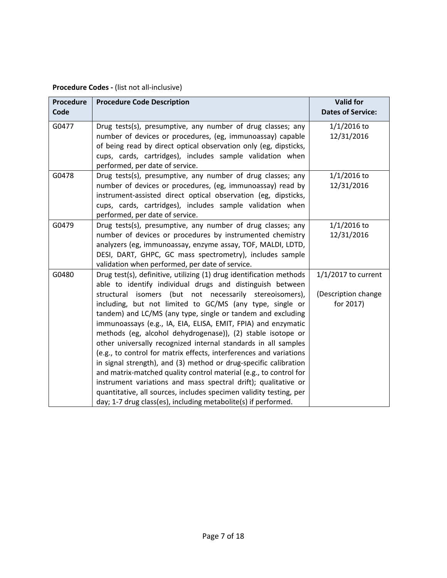| Procedure<br>Code | <b>Procedure Code Description</b>                                                                                                                                                                                                                                                                                                                                                                                                                                                                                                                                                                                                                                                                                                                                                                                                                                                                                                                 | <b>Valid for</b><br><b>Dates of Service:</b>              |
|-------------------|---------------------------------------------------------------------------------------------------------------------------------------------------------------------------------------------------------------------------------------------------------------------------------------------------------------------------------------------------------------------------------------------------------------------------------------------------------------------------------------------------------------------------------------------------------------------------------------------------------------------------------------------------------------------------------------------------------------------------------------------------------------------------------------------------------------------------------------------------------------------------------------------------------------------------------------------------|-----------------------------------------------------------|
| G0477             | Drug tests(s), presumptive, any number of drug classes; any<br>number of devices or procedures, (eg, immunoassay) capable<br>of being read by direct optical observation only (eg, dipsticks,<br>cups, cards, cartridges), includes sample validation when<br>performed, per date of service.                                                                                                                                                                                                                                                                                                                                                                                                                                                                                                                                                                                                                                                     | $1/1/2016$ to<br>12/31/2016                               |
| G0478             | Drug tests(s), presumptive, any number of drug classes; any<br>number of devices or procedures, (eg, immunoassay) read by<br>instrument-assisted direct optical observation (eg, dipsticks,<br>cups, cards, cartridges), includes sample validation when<br>performed, per date of service.                                                                                                                                                                                                                                                                                                                                                                                                                                                                                                                                                                                                                                                       | $1/1/2016$ to<br>12/31/2016                               |
| G0479             | Drug tests(s), presumptive, any number of drug classes; any<br>number of devices or procedures by instrumented chemistry<br>analyzers (eg, immunoassay, enzyme assay, TOF, MALDI, LDTD,<br>DESI, DART, GHPC, GC mass spectrometry), includes sample<br>validation when performed, per date of service.                                                                                                                                                                                                                                                                                                                                                                                                                                                                                                                                                                                                                                            | $1/1/2016$ to<br>12/31/2016                               |
| G0480             | Drug test(s), definitive, utilizing (1) drug identification methods<br>able to identify individual drugs and distinguish between<br>structural isomers (but not necessarily stereoisomers),<br>including, but not limited to GC/MS (any type, single or<br>tandem) and LC/MS (any type, single or tandem and excluding<br>immunoassays (e.g., IA, EIA, ELISA, EMIT, FPIA) and enzymatic<br>methods (eg, alcohol dehydrogenase)), (2) stable isotope or<br>other universally recognized internal standards in all samples<br>(e.g., to control for matrix effects, interferences and variations<br>in signal strength), and (3) method or drug-specific calibration<br>and matrix-matched quality control material (e.g., to control for<br>instrument variations and mass spectral drift); qualitative or<br>quantitative, all sources, includes specimen validity testing, per<br>day; 1-7 drug class(es), including metabolite(s) if performed. | $1/1/2017$ to current<br>(Description change<br>for 2017) |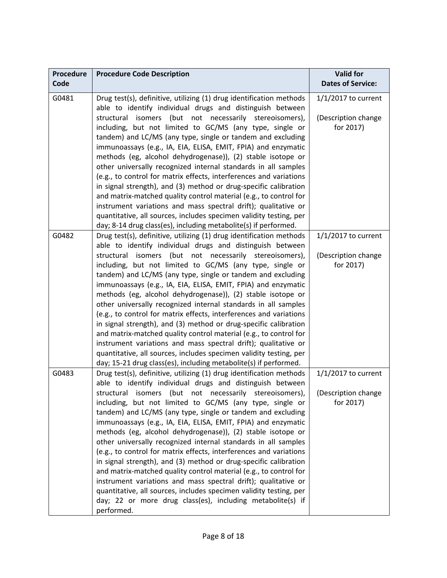| <b>Procedure</b> | <b>Procedure Code Description</b>                                                                                                     | <b>Valid for</b><br><b>Dates of Service:</b> |
|------------------|---------------------------------------------------------------------------------------------------------------------------------------|----------------------------------------------|
| Code             |                                                                                                                                       |                                              |
| G0481            | Drug test(s), definitive, utilizing (1) drug identification methods<br>able to identify individual drugs and distinguish between      | $1/1/2017$ to current                        |
|                  | structural isomers (but not necessarily stereoisomers),                                                                               | (Description change                          |
|                  | including, but not limited to GC/MS (any type, single or                                                                              | for 2017)                                    |
|                  | tandem) and LC/MS (any type, single or tandem and excluding                                                                           |                                              |
|                  | immunoassays (e.g., IA, EIA, ELISA, EMIT, FPIA) and enzymatic                                                                         |                                              |
|                  | methods (eg, alcohol dehydrogenase)), (2) stable isotope or                                                                           |                                              |
|                  | other universally recognized internal standards in all samples                                                                        |                                              |
|                  | (e.g., to control for matrix effects, interferences and variations                                                                    |                                              |
|                  | in signal strength), and (3) method or drug-specific calibration                                                                      |                                              |
|                  | and matrix-matched quality control material (e.g., to control for                                                                     |                                              |
|                  | instrument variations and mass spectral drift); qualitative or                                                                        |                                              |
|                  | quantitative, all sources, includes specimen validity testing, per<br>day; 8-14 drug class(es), including metabolite(s) if performed. |                                              |
| G0482            | Drug test(s), definitive, utilizing (1) drug identification methods                                                                   | $1/1/2017$ to current                        |
|                  | able to identify individual drugs and distinguish between                                                                             |                                              |
|                  | structural isomers (but not necessarily stereoisomers),                                                                               | (Description change                          |
|                  | including, but not limited to GC/MS (any type, single or                                                                              | for 2017)                                    |
|                  | tandem) and LC/MS (any type, single or tandem and excluding                                                                           |                                              |
|                  | immunoassays (e.g., IA, EIA, ELISA, EMIT, FPIA) and enzymatic                                                                         |                                              |
|                  | methods (eg, alcohol dehydrogenase)), (2) stable isotope or                                                                           |                                              |
|                  | other universally recognized internal standards in all samples                                                                        |                                              |
|                  | (e.g., to control for matrix effects, interferences and variations                                                                    |                                              |
|                  | in signal strength), and (3) method or drug-specific calibration                                                                      |                                              |
|                  | and matrix-matched quality control material (e.g., to control for                                                                     |                                              |
|                  | instrument variations and mass spectral drift); qualitative or                                                                        |                                              |
|                  | quantitative, all sources, includes specimen validity testing, per                                                                    |                                              |
|                  | day; 15-21 drug class(es), including metabolite(s) if performed.                                                                      |                                              |
| G0483            | Drug test(s), definitive, utilizing (1) drug identification methods                                                                   | $1/1/2017$ to current                        |
|                  | able to identify individual drugs and distinguish between                                                                             |                                              |
|                  | structural isomers (but not necessarily stereoisomers),                                                                               | (Description change                          |
|                  | including, but not limited to GC/MS (any type, single or                                                                              | for 2017)                                    |
|                  | tandem) and LC/MS (any type, single or tandem and excluding<br>immunoassays (e.g., IA, EIA, ELISA, EMIT, FPIA) and enzymatic          |                                              |
|                  | methods (eg, alcohol dehydrogenase)), (2) stable isotope or                                                                           |                                              |
|                  | other universally recognized internal standards in all samples                                                                        |                                              |
|                  | (e.g., to control for matrix effects, interferences and variations                                                                    |                                              |
|                  | in signal strength), and (3) method or drug-specific calibration                                                                      |                                              |
|                  | and matrix-matched quality control material (e.g., to control for                                                                     |                                              |
|                  | instrument variations and mass spectral drift); qualitative or                                                                        |                                              |
|                  | quantitative, all sources, includes specimen validity testing, per                                                                    |                                              |
|                  | day; 22 or more drug class(es), including metabolite(s) if                                                                            |                                              |
|                  | performed.                                                                                                                            |                                              |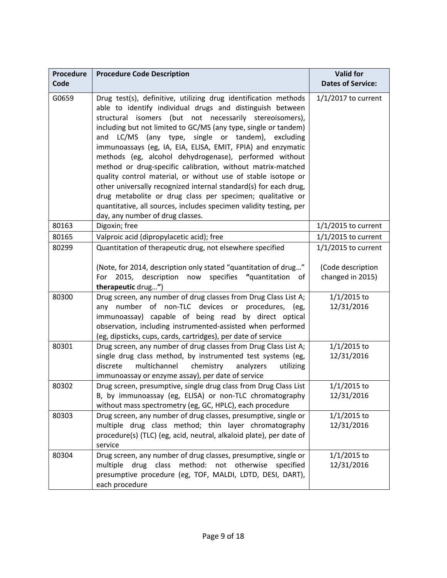| <b>Procedure</b> | <b>Procedure Code Description</b>                                                                                                                                                                                                                                                                                                                                                                                                                                                                                                                                                                                                                                                                                                                                                                                       | <b>Valid for</b>                      |
|------------------|-------------------------------------------------------------------------------------------------------------------------------------------------------------------------------------------------------------------------------------------------------------------------------------------------------------------------------------------------------------------------------------------------------------------------------------------------------------------------------------------------------------------------------------------------------------------------------------------------------------------------------------------------------------------------------------------------------------------------------------------------------------------------------------------------------------------------|---------------------------------------|
| Code             |                                                                                                                                                                                                                                                                                                                                                                                                                                                                                                                                                                                                                                                                                                                                                                                                                         | <b>Dates of Service:</b>              |
| G0659            | Drug test(s), definitive, utilizing drug identification methods<br>able to identify individual drugs and distinguish between<br>structural isomers (but not necessarily stereoisomers),<br>including but not limited to GC/MS (any type, single or tandem)<br>and LC/MS (any type,<br>single or tandem), excluding<br>immunoassays (eg, IA, EIA, ELISA, EMIT, FPIA) and enzymatic<br>methods (eg, alcohol dehydrogenase), performed without<br>method or drug-specific calibration, without matrix-matched<br>quality control material, or without use of stable isotope or<br>other universally recognized internal standard(s) for each drug,<br>drug metabolite or drug class per specimen; qualitative or<br>quantitative, all sources, includes specimen validity testing, per<br>day, any number of drug classes. | $1/1/2017$ to current                 |
| 80163            | Digoxin; free                                                                                                                                                                                                                                                                                                                                                                                                                                                                                                                                                                                                                                                                                                                                                                                                           | $1/1/2015$ to current                 |
| 80165            | Valproic acid (dipropylacetic acid); free                                                                                                                                                                                                                                                                                                                                                                                                                                                                                                                                                                                                                                                                                                                                                                               | $1/1/2015$ to current                 |
| 80299            | Quantitation of therapeutic drug, not elsewhere specified                                                                                                                                                                                                                                                                                                                                                                                                                                                                                                                                                                                                                                                                                                                                                               | $1/1/2015$ to current                 |
|                  | (Note, for 2014, description only stated "quantitation of drug"<br>description<br>now<br>specifies "quantitation<br>2015,<br>For<br>of<br>therapeutic drug")                                                                                                                                                                                                                                                                                                                                                                                                                                                                                                                                                                                                                                                            | (Code description<br>changed in 2015) |
| 80300            | Drug screen, any number of drug classes from Drug Class List A;<br>any number of non-TLC devices or procedures, (eg,<br>immunoassay) capable of being read by direct optical<br>observation, including instrumented-assisted when performed<br>(eg, dipsticks, cups, cards, cartridges), per date of service                                                                                                                                                                                                                                                                                                                                                                                                                                                                                                            | $1/1/2015$ to<br>12/31/2016           |
| 80301            | Drug screen, any number of drug classes from Drug Class List A;<br>single drug class method, by instrumented test systems (eg,<br>discrete<br>multichannel<br>chemistry<br>utilizing<br>analyzers<br>immunoassay or enzyme assay), per date of service                                                                                                                                                                                                                                                                                                                                                                                                                                                                                                                                                                  | $1/1/2015$ to<br>12/31/2016           |
| 80302            | Drug screen, presumptive, single drug class from Drug Class List<br>B, by immunoassay (eg, ELISA) or non-TLC chromatography<br>without mass spectrometry (eg, GC, HPLC), each procedure                                                                                                                                                                                                                                                                                                                                                                                                                                                                                                                                                                                                                                 | $1/1/2015$ to<br>12/31/2016           |
| 80303            | Drug screen, any number of drug classes, presumptive, single or<br>multiple drug class method; thin layer chromatography<br>procedure(s) (TLC) (eg, acid, neutral, alkaloid plate), per date of<br>service                                                                                                                                                                                                                                                                                                                                                                                                                                                                                                                                                                                                              | $1/1/2015$ to<br>12/31/2016           |
| 80304            | Drug screen, any number of drug classes, presumptive, single or<br>drug class<br>method: not otherwise<br>multiple<br>specified<br>presumptive procedure (eg, TOF, MALDI, LDTD, DESI, DART),<br>each procedure                                                                                                                                                                                                                                                                                                                                                                                                                                                                                                                                                                                                          | $1/1/2015$ to<br>12/31/2016           |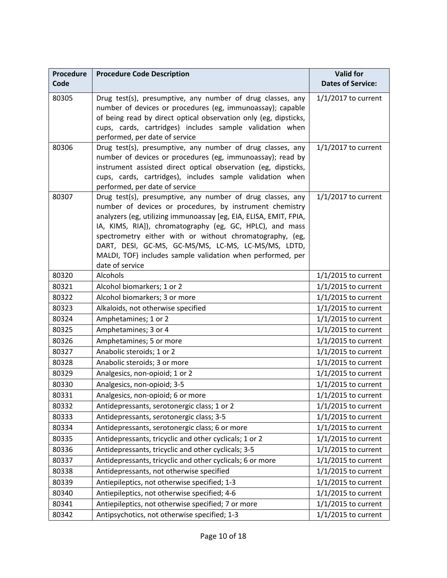| <b>Procedure</b><br>Code | <b>Procedure Code Description</b>                                                                                                                                                                                                                                                                                                                                                                                                                           | <b>Valid for</b><br><b>Dates of Service:</b> |
|--------------------------|-------------------------------------------------------------------------------------------------------------------------------------------------------------------------------------------------------------------------------------------------------------------------------------------------------------------------------------------------------------------------------------------------------------------------------------------------------------|----------------------------------------------|
| 80305                    | Drug test(s), presumptive, any number of drug classes, any<br>number of devices or procedures (eg, immunoassay); capable<br>of being read by direct optical observation only (eg, dipsticks,<br>cups, cards, cartridges) includes sample validation when<br>performed, per date of service                                                                                                                                                                  | $1/1/2017$ to current                        |
| 80306                    | Drug test(s), presumptive, any number of drug classes, any<br>number of devices or procedures (eg, immunoassay); read by<br>instrument assisted direct optical observation (eg, dipsticks,<br>cups, cards, cartridges), includes sample validation when<br>performed, per date of service                                                                                                                                                                   | $1/1/2017$ to current                        |
| 80307                    | Drug test(s), presumptive, any number of drug classes, any<br>number of devices or procedures, by instrument chemistry<br>analyzers (eg, utilizing immunoassay [eg, EIA, ELISA, EMIT, FPIA,<br>IA, KIMS, RIA]), chromatography (eg, GC, HPLC), and mass<br>spectrometry either with or without chromatography, (eg,<br>DART, DESI, GC-MS, GC-MS/MS, LC-MS, LC-MS/MS, LDTD,<br>MALDI, TOF) includes sample validation when performed, per<br>date of service | $1/1/2017$ to current                        |
| 80320                    | Alcohols                                                                                                                                                                                                                                                                                                                                                                                                                                                    | $1/1/2015$ to current                        |
| 80321                    | Alcohol biomarkers; 1 or 2                                                                                                                                                                                                                                                                                                                                                                                                                                  | $1/1/2015$ to current                        |
| 80322                    | Alcohol biomarkers; 3 or more                                                                                                                                                                                                                                                                                                                                                                                                                               | $1/1/2015$ to current                        |
| 80323                    | Alkaloids, not otherwise specified                                                                                                                                                                                                                                                                                                                                                                                                                          | $1/1/2015$ to current                        |
| 80324                    | Amphetamines; 1 or 2                                                                                                                                                                                                                                                                                                                                                                                                                                        | $1/1/2015$ to current                        |
| 80325                    | Amphetamines; 3 or 4                                                                                                                                                                                                                                                                                                                                                                                                                                        | $1/1/2015$ to current                        |
| 80326                    | Amphetamines; 5 or more                                                                                                                                                                                                                                                                                                                                                                                                                                     | $1/1/2015$ to current                        |
| 80327                    | Anabolic steroids; 1 or 2                                                                                                                                                                                                                                                                                                                                                                                                                                   | $1/1/2015$ to current                        |
| 80328                    | Anabolic steroids; 3 or more                                                                                                                                                                                                                                                                                                                                                                                                                                | $1/1/2015$ to current                        |
| 80329                    | Analgesics, non-opioid; 1 or 2                                                                                                                                                                                                                                                                                                                                                                                                                              | $1/1/2015$ to current                        |
| 80330                    | Analgesics, non-opioid; 3-5                                                                                                                                                                                                                                                                                                                                                                                                                                 | $1/1/2015$ to current                        |
| 80331                    | Analgesics, non-opioid; 6 or more                                                                                                                                                                                                                                                                                                                                                                                                                           | 1/1/2015 to current                          |
| 80332                    | Antidepressants, serotonergic class; 1 or 2                                                                                                                                                                                                                                                                                                                                                                                                                 | $1/1/2015$ to current                        |
| 80333                    | Antidepressants, serotonergic class; 3-5                                                                                                                                                                                                                                                                                                                                                                                                                    | $1/1/2015$ to current                        |
| 80334                    | Antidepressants, serotonergic class; 6 or more                                                                                                                                                                                                                                                                                                                                                                                                              | $1/1/2015$ to current                        |
| 80335                    | Antidepressants, tricyclic and other cyclicals; 1 or 2                                                                                                                                                                                                                                                                                                                                                                                                      | $1/1/2015$ to current                        |
| 80336                    | Antidepressants, tricyclic and other cyclicals; 3-5                                                                                                                                                                                                                                                                                                                                                                                                         | $1/1/2015$ to current                        |
| 80337                    | Antidepressants, tricyclic and other cyclicals; 6 or more                                                                                                                                                                                                                                                                                                                                                                                                   | $1/1/2015$ to current                        |
| 80338                    | Antidepressants, not otherwise specified                                                                                                                                                                                                                                                                                                                                                                                                                    | $1/1/2015$ to current                        |
| 80339                    | Antiepileptics, not otherwise specified; 1-3                                                                                                                                                                                                                                                                                                                                                                                                                | $1/1/2015$ to current                        |
| 80340                    | Antiepileptics, not otherwise specified; 4-6                                                                                                                                                                                                                                                                                                                                                                                                                | $1/1/2015$ to current                        |
| 80341                    | Antiepileptics, not otherwise specified; 7 or more                                                                                                                                                                                                                                                                                                                                                                                                          | $1/1/2015$ to current                        |
| 80342                    | Antipsychotics, not otherwise specified; 1-3                                                                                                                                                                                                                                                                                                                                                                                                                | $1/1/2015$ to current                        |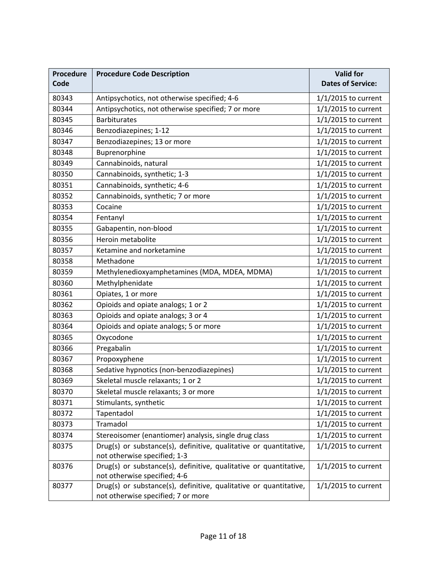| <b>Procedure</b> | <b>Procedure Code Description</b>                                 | <b>Valid for</b>         |
|------------------|-------------------------------------------------------------------|--------------------------|
| Code             |                                                                   | <b>Dates of Service:</b> |
| 80343            | Antipsychotics, not otherwise specified; 4-6                      | $1/1/2015$ to current    |
| 80344            | Antipsychotics, not otherwise specified; 7 or more                | 1/1/2015 to current      |
| 80345            | <b>Barbiturates</b>                                               | $1/1/2015$ to current    |
| 80346            | Benzodiazepines; 1-12                                             | $1/1/2015$ to current    |
| 80347            | Benzodiazepines; 13 or more                                       | $1/1/2015$ to current    |
| 80348            | Buprenorphine                                                     | $1/1/2015$ to current    |
| 80349            | Cannabinoids, natural                                             | 1/1/2015 to current      |
| 80350            | Cannabinoids, synthetic; 1-3                                      | 1/1/2015 to current      |
| 80351            | Cannabinoids, synthetic; 4-6                                      | $1/1/2015$ to current    |
| 80352            | Cannabinoids, synthetic; 7 or more                                | $1/1/2015$ to current    |
| 80353            | Cocaine                                                           | 1/1/2015 to current      |
| 80354            | Fentanyl                                                          | $1/1/2015$ to current    |
| 80355            | Gabapentin, non-blood                                             | $1/1/2015$ to current    |
| 80356            | Heroin metabolite                                                 | $1/1/2015$ to current    |
| 80357            | Ketamine and norketamine                                          | 1/1/2015 to current      |
| 80358            | Methadone                                                         | 1/1/2015 to current      |
| 80359            | Methylenedioxyamphetamines (MDA, MDEA, MDMA)                      | 1/1/2015 to current      |
| 80360            | Methylphenidate                                                   | $1/1/2015$ to current    |
| 80361            | Opiates, 1 or more                                                | $1/1/2015$ to current    |
| 80362            | Opioids and opiate analogs; 1 or 2                                | $1/1/2015$ to current    |
| 80363            | Opioids and opiate analogs; 3 or 4                                | 1/1/2015 to current      |
| 80364            | Opioids and opiate analogs; 5 or more                             | 1/1/2015 to current      |
| 80365            | Oxycodone                                                         | 1/1/2015 to current      |
| 80366            | Pregabalin                                                        | 1/1/2015 to current      |
| 80367            | Propoxyphene                                                      | 1/1/2015 to current      |
| 80368            | Sedative hypnotics (non-benzodiazepines)                          | 1/1/2015 to current      |
| 80369            | Skeletal muscle relaxants; 1 or 2                                 | 1/1/2015 to current      |
| 80370            | Skeletal muscle relaxants; 3 or more                              | 1/1/2015 to current      |
| 80371            | Stimulants, synthetic                                             | $1/1/2015$ to current    |
| 80372            | Tapentadol                                                        | $1/1/2015$ to current    |
| 80373            | Tramadol                                                          | $1/1/2015$ to current    |
| 80374            | Stereoisomer (enantiomer) analysis, single drug class             | 1/1/2015 to current      |
| 80375            | Drug(s) or substance(s), definitive, qualitative or quantitative, | $1/1/2015$ to current    |
|                  | not otherwise specified; 1-3                                      |                          |
| 80376            | Drug(s) or substance(s), definitive, qualitative or quantitative, | $1/1/2015$ to current    |
|                  | not otherwise specified; 4-6                                      |                          |
| 80377            | Drug(s) or substance(s), definitive, qualitative or quantitative, | $1/1/2015$ to current    |
|                  | not otherwise specified; 7 or more                                |                          |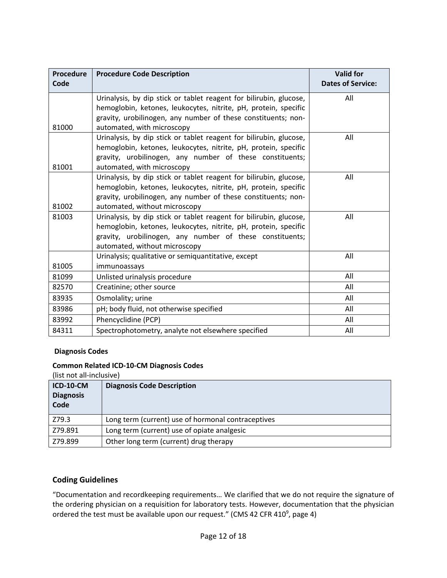| Procedure<br>Code | <b>Procedure Code Description</b>                                  | <b>Valid for</b><br><b>Dates of Service:</b> |
|-------------------|--------------------------------------------------------------------|----------------------------------------------|
|                   | Urinalysis, by dip stick or tablet reagent for bilirubin, glucose, | All                                          |
|                   | hemoglobin, ketones, leukocytes, nitrite, pH, protein, specific    |                                              |
|                   | gravity, urobilinogen, any number of these constituents; non-      |                                              |
| 81000             | automated, with microscopy                                         |                                              |
|                   | Urinalysis, by dip stick or tablet reagent for bilirubin, glucose, | All                                          |
|                   | hemoglobin, ketones, leukocytes, nitrite, pH, protein, specific    |                                              |
|                   | gravity, urobilinogen, any number of these constituents;           |                                              |
| 81001             | automated, with microscopy                                         |                                              |
|                   | Urinalysis, by dip stick or tablet reagent for bilirubin, glucose, | All                                          |
|                   | hemoglobin, ketones, leukocytes, nitrite, pH, protein, specific    |                                              |
|                   | gravity, urobilinogen, any number of these constituents; non-      |                                              |
| 81002             | automated, without microscopy                                      |                                              |
| 81003             | Urinalysis, by dip stick or tablet reagent for bilirubin, glucose, | All                                          |
|                   | hemoglobin, ketones, leukocytes, nitrite, pH, protein, specific    |                                              |
|                   | gravity, urobilinogen, any number of these constituents;           |                                              |
|                   | automated, without microscopy                                      |                                              |
|                   | Urinalysis; qualitative or semiquantitative, except                | All                                          |
| 81005             | immunoassays                                                       |                                              |
| 81099             | Unlisted urinalysis procedure                                      | All                                          |
| 82570             | Creatinine; other source                                           | All                                          |
| 83935             | Osmolality; urine                                                  | All                                          |
| 83986             | pH; body fluid, not otherwise specified                            | All                                          |
| 83992             | Phencyclidine (PCP)                                                | All                                          |
| 84311             | Spectrophotometry, analyte not elsewhere specified                 | All                                          |

### **Diagnosis Codes**

### **Common Related ICD-10-CM Diagnosis Codes**

(list not all-inclusive)

| <b>ICD-10-CM</b><br><b>Diagnosis</b><br>Code | <b>Diagnosis Code Description</b>                  |
|----------------------------------------------|----------------------------------------------------|
| Z79.3                                        | Long term (current) use of hormonal contraceptives |
| Z79.891                                      | Long term (current) use of opiate analgesic        |
| Z79.899                                      | Other long term (current) drug therapy             |

### **Coding Guidelines**

"Documentation and recordkeeping requirements… We clarified that we do not require the signature of the ordering physician on a requisition for laboratory tests. However, documentation that the physician ordered the test must be available upon our request." (CMS 42 CFR 410<sup>9</sup>, page 4)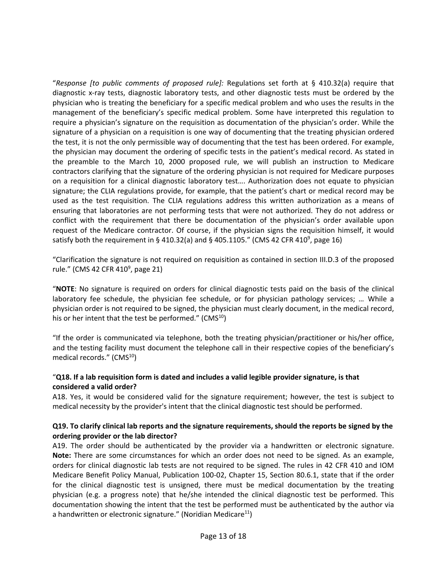"*Response [to public comments of proposed rule]:* Regulations set forth at § 410.32(a) require that diagnostic x-ray tests, diagnostic laboratory tests, and other diagnostic tests must be ordered by the physician who is treating the beneficiary for a specific medical problem and who uses the results in the management of the beneficiary's specific medical problem. Some have interpreted this regulation to require a physician's signature on the requisition as documentation of the physician's order. While the signature of a physician on a requisition is one way of documenting that the treating physician ordered the test, it is not the only permissible way of documenting that the test has been ordered. For example, the physician may document the ordering of specific tests in the patient's medical record. As stated in the preamble to the March 10, 2000 proposed rule, we will publish an instruction to Medicare contractors clarifying that the signature of the ordering physician is not required for Medicare purposes on a requisition for a clinical diagnostic laboratory test…. Authorization does not equate to physician signature; the CLIA regulations provide, for example, that the patient's chart or medical record may be used as the test requisition. The CLIA regulations address this written authorization as a means of ensuring that laboratories are not performing tests that were not authorized. They do not address or conflict with the requirement that there be documentation of the physician's order available upon request of the Medicare contractor. Of course, if the physician signs the requisition himself, it would satisfy both the requirement in § 410.32(a) and § 405.1105." (CMS 42 CFR 410<sup>9</sup>, page 16)

"Clarification the signature is not required on requisition as contained in section III.D.3 of the proposed rule." (CMS 42 CFR 410<sup>9</sup>, page 21)

"**NOTE**: No signature is required on orders for clinical diagnostic tests paid on the basis of the clinical laboratory fee schedule, the physician fee schedule, or for physician pathology services; … While a physician order is not required to be signed, the physician must clearly document, in the medical record, his or her intent that the test be performed."  $(CMS^{10})$ 

"If the order is communicated via telephone, both the treating physician/practitioner or his/her office, and the testing facility must document the telephone call in their respective copies of the beneficiary's medical records."  $(CMS<sup>10</sup>)$ 

### "**Q18. If a lab requisition form is dated and includes a valid legible provider signature, is that considered a valid order?**

A18. Yes, it would be considered valid for the signature requirement; however, the test is subject to medical necessity by the provider's intent that the clinical diagnostic test should be performed.

### **Q19. To clarify clinical lab reports and the signature requirements, should the reports be signed by the ordering provider or the lab director?**

A19. The order should be authenticated by the provider via a handwritten or electronic signature. **Note:** There are some circumstances for which an order does not need to be signed. As an example, orders for clinical diagnostic lab tests are not required to be signed. The rules in 42 CFR 410 and IOM Medicare Benefit Policy Manual, Publication 100-02, Chapter 15, Section 80.6.1, state that if the order for the clinical diagnostic test is unsigned, there must be medical documentation by the treating physician (e.g. a progress note) that he/she intended the clinical diagnostic test be performed. This documentation showing the intent that the test be performed must be authenticated by the author via a handwritten or electronic signature." (Noridian Medicare $11$ )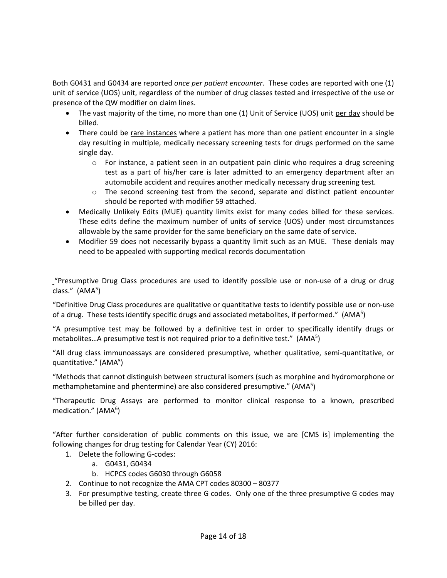Both G0431 and G0434 are reported *once per patient encounter.* These codes are reported with one (1) unit of service (UOS) unit, regardless of the number of drug classes tested and irrespective of the use or presence of the QW modifier on claim lines.

- The vast majority of the time, no more than one (1) Unit of Service (UOS) unit per day should be billed.
- There could be rare instances where a patient has more than one patient encounter in a single day resulting in multiple, medically necessary screening tests for drugs performed on the same single day.
	- $\circ$  For instance, a patient seen in an outpatient pain clinic who requires a drug screening test as a part of his/her care is later admitted to an emergency department after an automobile accident and requires another medically necessary drug screening test.
	- $\circ$  The second screening test from the second, separate and distinct patient encounter should be reported with modifier 59 attached.
- Medically Unlikely Edits (MUE) quantity limits exist for many codes billed for these services. These edits define the maximum number of units of service (UOS) under most circumstances allowable by the same provider for the same beneficiary on the same date of service.
- Modifier 59 does not necessarily bypass a quantity limit such as an MUE. These denials may need to be appealed with supporting medical records documentation

"Presumptive Drug Class procedures are used to identify possible use or non-use of a drug or drug class." (AMA<sup>5</sup>)

"Definitive Drug Class procedures are qualitative or quantitative tests to identify possible use or non-use of a drug. These tests identify specific drugs and associated metabolites, if performed."  $(AMA<sup>5</sup>)$ 

"A presumptive test may be followed by a definitive test in order to specifically identify drugs or metabolites...A presumptive test is not required prior to a definitive test."  $(AMA<sup>5</sup>)$ 

"All drug class immunoassays are considered presumptive, whether qualitative, semi-quantitative, or quantitative." (AMA<sup>5</sup>)

"Methods that cannot distinguish between structural isomers (such as morphine and hydromorphone or methamphetamine and phentermine) are also considered presumptive." (AMA<sup>5</sup>)

"Therapeutic Drug Assays are performed to monitor clinical response to a known, prescribed medication." (AMA<sup>6</sup>)

"After further consideration of public comments on this issue, we are [CMS is] implementing the following changes for drug testing for Calendar Year (CY) 2016:

- 1. Delete the following G-codes:
	- a. G0431, G0434
	- b. HCPCS codes G6030 through G6058
- 2. Continue to not recognize the AMA CPT codes 80300 80377
- 3. For presumptive testing, create three G codes. Only one of the three presumptive G codes may be billed per day.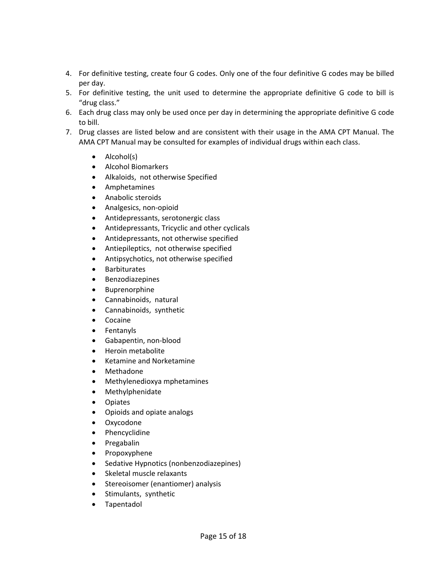- 4. For definitive testing, create four G codes. Only one of the four definitive G codes may be billed per day.
- 5. For definitive testing, the unit used to determine the appropriate definitive G code to bill is "drug class."
- 6. Each drug class may only be used once per day in determining the appropriate definitive G code to bill.
- 7. Drug classes are listed below and are consistent with their usage in the AMA CPT Manual. The AMA CPT Manual may be consulted for examples of individual drugs within each class.
	- Alcohol(s)
	- Alcohol Biomarkers
	- Alkaloids, not otherwise Specified
	- Amphetamines
	- Anabolic steroids
	- Analgesics, non-opioid
	- Antidepressants, serotonergic class
	- Antidepressants, Tricyclic and other cyclicals
	- Antidepressants, not otherwise specified
	- Antiepileptics, not otherwise specified
	- Antipsychotics, not otherwise specified
	- Barbiturates
	- Benzodiazepines
	- Buprenorphine
	- Cannabinoids, natural
	- Cannabinoids, synthetic
	- Cocaine
	- Fentanyls
	- Gabapentin, non-blood
	- Heroin metabolite
	- Ketamine and Norketamine
	- Methadone
	- Methylenedioxya mphetamines
	- Methylphenidate
	- Opiates
	- Opioids and opiate analogs
	- Oxycodone
	- Phencyclidine
	- Pregabalin
	- Propoxyphene
	- Sedative Hypnotics (nonbenzodiazepines)
	- Skeletal muscle relaxants
	- Stereoisomer (enantiomer) analysis
	- Stimulants, synthetic
	- Tapentadol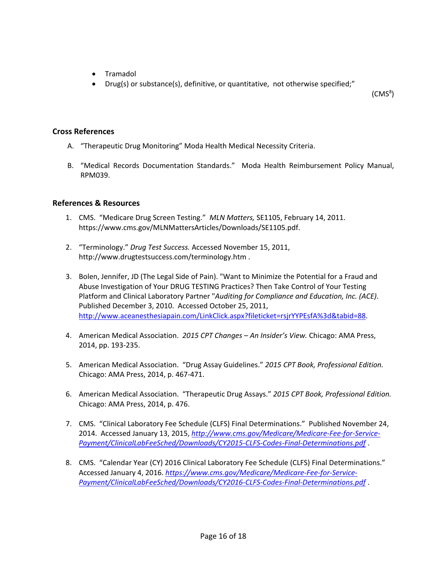- Tramadol
- Drug(s) or substance(s), definitive, or quantitative, not otherwise specified;"

(CMS<sup>8</sup>)

### **Cross References**

- A. "Therapeutic Drug Monitoring" Moda Health Medical Necessity Criteria.
- B. "Medical Records Documentation Standards." Moda Health Reimbursement Policy Manual, RPM039.

### **References & Resources**

- 1. CMS. "Medicare Drug Screen Testing." *MLN Matters,* SE1105, February 14, 2011. https://www.cms.gov/MLNMattersArticles/Downloads/SE1105.pdf.
- 2. "Terminology." *Drug Test Success.* Accessed November 15, 2011, http://www.drugtestsuccess.com/terminology.htm .
- 3. Bolen, Jennifer, JD (The Legal Side of Pain). "Want to Minimize the Potential for a Fraud and Abuse Investigation of Your DRUG TESTING Practices? Then Take Control of Your Testing Platform and Clinical Laboratory Partner "*Auditing for Compliance and Education, Inc. (ACE)*. Published December 3, 2010. Accessed October 25, 2011, [http://www.aceanesthesiapain.com/LinkClick.aspx?fileticket=rsjrYYPEsfA%3d&tabid=88.](http://www.aceanesthesiapain.com/LinkClick.aspx?fileticket=rsjrYYPEsfA%3d&tabid=88)
- 4. American Medical Association. *2015 CPT Changes – An Insider's View.* Chicago: AMA Press, 2014, pp. 193-235.
- 5. American Medical Association. "Drug Assay Guidelines." *2015 CPT Book, Professional Edition.* Chicago: AMA Press, 2014, p. 467-471.
- 6. American Medical Association. "Therapeutic Drug Assays." *2015 CPT Book, Professional Edition.* Chicago: AMA Press, 2014, p. 476.
- 7. CMS. "Clinical Laboratory Fee Schedule (CLFS) Final Determinations." Published November 24, 2014. Accessed January 13, 2015, *[http://www.cms.gov/Medicare/Medicare-Fee-for-Service-](http://www.cms.gov/Medicare/Medicare-Fee-for-Service-Payment/ClinicalLabFeeSched/Downloads/CY2015-CLFS-Codes-Final-Determinations.pdf)[Payment/ClinicalLabFeeSched/Downloads/CY2015-CLFS-Codes-Final-Determinations.pdf](http://www.cms.gov/Medicare/Medicare-Fee-for-Service-Payment/ClinicalLabFeeSched/Downloads/CY2015-CLFS-Codes-Final-Determinations.pdf)* .
- 8. CMS. "Calendar Year (CY) 2016 Clinical Laboratory Fee Schedule (CLFS) Final Determinations." Accessed January 4, 2016. *[https://www.cms.gov/Medicare/Medicare-Fee-for-Service-](https://www.cms.gov/Medicare/Medicare-Fee-for-Service-Payment/ClinicalLabFeeSched/Downloads/CY2016-CLFS-Codes-Final-Determinations.pdf)[Payment/ClinicalLabFeeSched/Downloads/CY2016-CLFS-Codes-Final-Determinations.pdf](https://www.cms.gov/Medicare/Medicare-Fee-for-Service-Payment/ClinicalLabFeeSched/Downloads/CY2016-CLFS-Codes-Final-Determinations.pdf)* .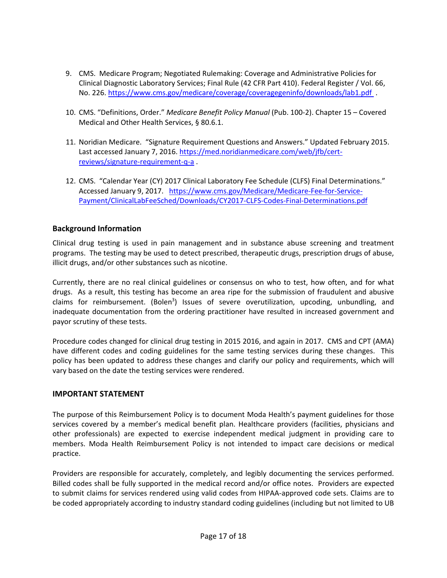- 9. CMS. Medicare Program; Negotiated Rulemaking: Coverage and Administrative Policies for Clinical Diagnostic Laboratory Services; Final Rule (42 CFR Part 410). Federal Register / Vol. 66, No. 226.<https://www.cms.gov/medicare/coverage/coveragegeninfo/downloads/lab1.pdf>.
- 10. CMS. "Definitions, Order." *Medicare Benefit Policy Manual* (Pub. 100-2). Chapter 15 Covered Medical and Other Health Services, § 80.6.1.
- 11. Noridian Medicare. "Signature Requirement Questions and Answers." Updated February 2015. Last accessed January 7, 2016. [https://med.noridianmedicare.com/web/jfb/cert](https://med.noridianmedicare.com/web/jfb/cert-reviews/signature-requirement-q-a)[reviews/signature-requirement-q-a](https://med.noridianmedicare.com/web/jfb/cert-reviews/signature-requirement-q-a) .
- 12. CMS. "Calendar Year (CY) 2017 Clinical Laboratory Fee Schedule (CLFS) Final Determinations." Accessed January 9, 2017. [https://www.cms.gov/Medicare/Medicare-Fee-for-Service-](https://www.cms.gov/Medicare/Medicare-Fee-for-Service-Payment/ClinicalLabFeeSched/Downloads/CY2017-CLFS-Codes-Final-Determinations.pdf)[Payment/ClinicalLabFeeSched/Downloads/CY2017-CLFS-Codes-Final-Determinations.pdf](https://www.cms.gov/Medicare/Medicare-Fee-for-Service-Payment/ClinicalLabFeeSched/Downloads/CY2017-CLFS-Codes-Final-Determinations.pdf)

# **Background Information**

Clinical drug testing is used in pain management and in substance abuse screening and treatment programs. The testing may be used to detect prescribed, therapeutic drugs, prescription drugs of abuse, illicit drugs, and/or other substances such as nicotine.

Currently, there are no real clinical guidelines or consensus on who to test, how often, and for what drugs. As a result, this testing has become an area ripe for the submission of fraudulent and abusive claims for reimbursement. (Bolen<sup>3</sup>) Issues of severe overutilization, upcoding, unbundling, and inadequate documentation from the ordering practitioner have resulted in increased government and payor scrutiny of these tests.

Procedure codes changed for clinical drug testing in 2015 2016, and again in 2017. CMS and CPT (AMA) have different codes and coding guidelines for the same testing services during these changes. This policy has been updated to address these changes and clarify our policy and requirements, which will vary based on the date the testing services were rendered.

### **IMPORTANT STATEMENT**

The purpose of this Reimbursement Policy is to document Moda Health's payment guidelines for those services covered by a member's medical benefit plan. Healthcare providers (facilities, physicians and other professionals) are expected to exercise independent medical judgment in providing care to members. Moda Health Reimbursement Policy is not intended to impact care decisions or medical practice.

Providers are responsible for accurately, completely, and legibly documenting the services performed. Billed codes shall be fully supported in the medical record and/or office notes. Providers are expected to submit claims for services rendered using valid codes from HIPAA-approved code sets. Claims are to be coded appropriately according to industry standard coding guidelines (including but not limited to UB